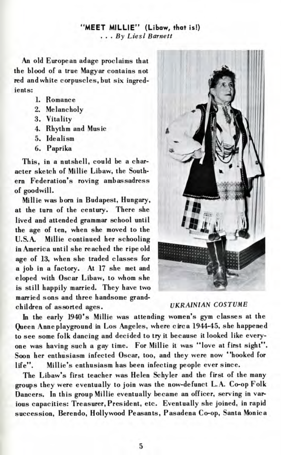## **MEET MILLIE" (Libaw, that** is!) **. . . By** Lie si Barnett

An old European adage proclaims that the blood of a true Magyar contains not red and white corpuscles, but six ingredients:

- 1. Romance
- 2. Melancholy
- 3. Vitality
- 4. Rhythm and Music
- 5. Idealism
- 6. Paprika

This, in a nutshell, could be a character sketch of Millie Libaw, the Southern Federation's roving ambassadress of goodwill.

Millie was born in Budapest, Hungary, at the turn of the century. There she lived and attended grammar school until the age of ten, when she moved to the U.S.A. Millie continued her schooling in America until she reached the ripe old age of 13, when she traded classes for a job in a factory. At 17 she met and eloped with Oscar Libaw, to whom she is still happily married. They have two married sons and three handsome grandchildren of assorted ages.



## *UKRAINIAN COSTUME*

In the early 1940's Millie was attending women's gym classes at the Queen Anne playground in Los Angeles, where circa 1944-45, she happened to see some folk dancing and decided to try it because it looked like everyone was having such a gay time. For Millie it was "love at first sight". Soon her enthusiasm infected Oscar, too, and they were now "hooked for life". Millie's enthusiasm has been infecting people ever since.

The Libaw's first teacher was Helen Schyler and the first of the many groups they were eventually to join was the now-defunct L.A. Co-op Folk Dancers. In this group Millie eventually became an officer, serving in various capacities: Treasurer, President, etc. Eventually she joined, in rapid succession, Berendo, Hollywood Peasants, Pasadena Co-op, Santa Monica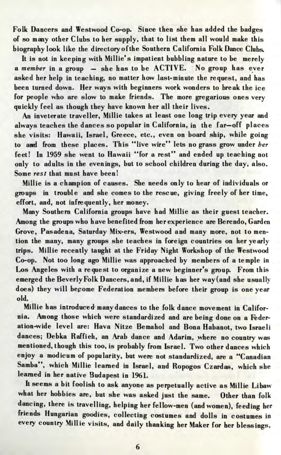Folk Dancers and Westwood Co-op. Since then she has added the badges of so many other Clubs to her supply, that to list them all would make this biography look like the directory of the Southern California Folk Dance Clubs.

It is not in keeping with Millie's impatient bubbling nature to be merely a *member* in a group — she has to be ACTIVE. No group has ever asked her help in teaching, no matter how last-minute the request, and has been turned down. Her ways with beginners work wonders to break the ice for people who are slow to make friends. The more gregarious ones very quickly feel as though they have known her all their lives.

An inveterate traveller, Millie takes at least one long trip every year and always teaches the dances so popular in California, in the far—off places she visits: Hawaii, Israel, Greece, etc., even on board ship, while going to and from these places. This "live wire" lets no grass grow under *her* feet! In 1959 she went to Hawaii "for a rest" and ended up teaching not only to adults in the evenings, but to school children during the day, also. Some *rest* that must have been!

Millie is a champion of causes. She needs only to hear of individuals or groups in trouble and she comes to the rescue, giving freely of her time, effort, and, not infrequently, her money.

Many Southern California groups have had Millie as their guest teacher. Among the groups who have benefited from her experience are Berendo, Garden Grove, Pasadena, Saturday Mix-ers, Westwood and many more, not to mention the many, many groups she teaches in foreign countries on her yearly trips. Millie recently taught at the Friday Night Workshop of the Westwood Co-op. Not too long ago Millie was approached by members of a temple in Los Angeles with a request to organize a new beginner's group. From this emerged the Beverly Folk Dancers, and, if Millie has her way (and she usually does) they will become Federation members before their group is one year old.

Millie has introduced many dances to the folk dance movement in California. Among those which were standardized and are being done on a Federation-wide level are: Hava Nitze Bemahol and Bona Habanot, two Israeli dances; Debka Raffieh, an Arab dance and Adarim, where no country was mentioned, though this too, is probably from Israel. Two other dances which enjoy a modicum of popularity, but were not standardized, are a "Canadian Samba", which Millie learned in Israel, and Ropogos Czardas, which she learned in her native Budapest in 1961.

It seems a bit foolish to ask anyone as perpetually active as Millie Libaw what her hobbies are, but she was asked just the same. Other than folk dancing, there is travelling, helping her fellow-men (and women), feeding her friends Hungarian goodies, collecting costumes and dolls in costumes in every country Millie visits, and daily thanking her Maker for her blessings,